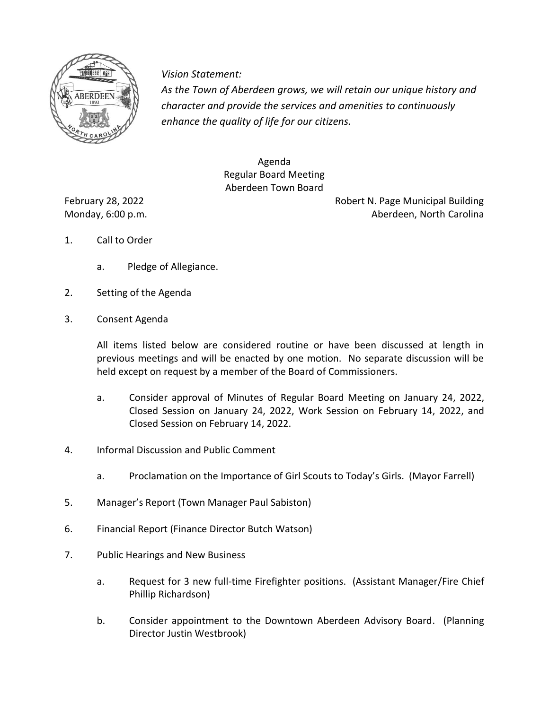

*Vision Statement Vision Statement:*

*As the Town of Aberdeen grows, we will retain our unique history and character and provide the services and amenities to continuously enhance the quality of life for our citizens.* 

> Agenda Regular Board Meeting Aberdeen Town Board

February 28, 2022 **Robert N. Page Municipal Building** Monday, 6:00 p.m. Aberdeen, North Carolina

- 1. Call to Order
	- a. Pledge of Allegiance.
- 2. Setting of the Agenda
- 3. Consent Agenda

All items listed below are considered routine or have been discussed at length in previous meetings and will be enacted by one motion. No separate discussion will be held except on request by a member of the Board of Commissioners.

- a. Consider approval of Minutes of Regular Board Meeting on January 24, 2022, Closed Session on January 24, 2022, Work Session on February 14, 2022, and Closed Session on February 14, 2022.
- 4. Informal Discussion and Public Comment
	- a. Proclamation on the Importance of Girl Scouts to Today's Girls. (Mayor Farrell)
- 5. Manager's Report (Town Manager Paul Sabiston)
- 6. Financial Report (Finance Director Butch Watson)
- 7. Public Hearings and New Business
	- a. Request for 3 new full-time Firefighter positions. (Assistant Manager/Fire Chief Phillip Richardson)
	- b. Consider appointment to the Downtown Aberdeen Advisory Board. (Planning Director Justin Westbrook)